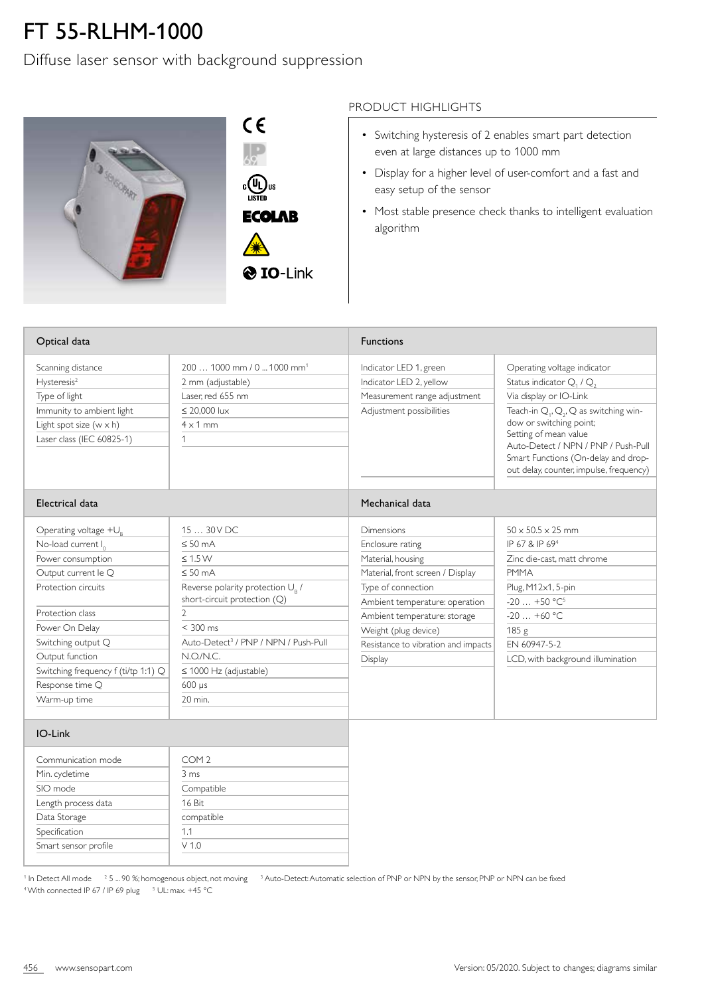## FT 55-RLHM-1000

Diffuse laser sensor with background suppression



 $C \in$  $\frac{1}{69}$  $\begin{matrix} \mathbb{C} \\ \mathbb{C} \end{matrix}$   $\begin{matrix} \mathbb{U}_L \\ \mathbb{U} \end{matrix}$  us **ECOLAB** 

## PRODUCT HIGHLIGHTS

- Switching hysteresis of 2 enables smart part detection even at large distances up to 1000 mm
- Display for a higher level of user-comfort and a fast and easy setup of the sensor
- Most stable presence check thanks to intelligent evaluation algorithm

| Optical data                                                                                                                                                                                                                                                                             |                                                                                                                                                                                                                                                                                                                    | <b>Functions</b>                                                                                                                                                                                                                                                        |                                                                                                                                                                                                                                                                                                                        |
|------------------------------------------------------------------------------------------------------------------------------------------------------------------------------------------------------------------------------------------------------------------------------------------|--------------------------------------------------------------------------------------------------------------------------------------------------------------------------------------------------------------------------------------------------------------------------------------------------------------------|-------------------------------------------------------------------------------------------------------------------------------------------------------------------------------------------------------------------------------------------------------------------------|------------------------------------------------------------------------------------------------------------------------------------------------------------------------------------------------------------------------------------------------------------------------------------------------------------------------|
| Scanning distance<br>Hysteresis <sup>2</sup><br>Type of light<br>Immunity to ambient light<br>Light spot size $(w \times h)$<br>Laser class (IEC 60825-1)                                                                                                                                | 200  1000 mm / 0  1000 mm <sup>1</sup><br>2 mm (adjustable)<br>Laser, red 655 nm<br>$\leq$ 20.000 lux<br>$4 \times 1$ mm<br>1                                                                                                                                                                                      | Indicator LED 1, green<br>Indicator LED 2, yellow<br>Measurement range adjustment<br>Adjustment possibilities                                                                                                                                                           | Operating voltage indicator<br>Status indicator $Q_1$ / $Q_2$<br>Via display or IO-Link<br>Teach-in $Q_1$ , $Q_2$ , $Q$ as switching win-<br>dow or switching point;<br>Setting of mean value<br>Auto-Detect / NPN / PNP / Push-Pull<br>Smart Functions (On-delay and drop-<br>out delay, counter, impulse, frequency) |
| Electrical data                                                                                                                                                                                                                                                                          |                                                                                                                                                                                                                                                                                                                    | Mechanical data                                                                                                                                                                                                                                                         |                                                                                                                                                                                                                                                                                                                        |
| Operating voltage $+U_{R}$<br>No-load current I <sub>0</sub><br>Power consumption<br>Output current le Q<br>Protection circuits<br>Protection class<br>Power On Delay<br>Switching output Q<br>Output function<br>Switching frequency f (ti/tp 1:1) Q<br>Response time Q<br>Warm-up time | 15  30 V DC<br>$\leq 50$ mA<br>$\leq 1.5 W$<br>$\leq 50$ mA<br>Reverse polarity protection U <sub>o</sub> /<br>short-circuit protection (Q)<br>$\overline{2}$<br>$< 300$ ms<br>Auto-Detect <sup>3</sup> / PNP / NPN / Push-Pull<br>N.O.N.C.<br>$\leq$ 1000 Hz (adjustable)<br>$600 \text{ }\mu\text{s}$<br>20 min. | <b>Dimensions</b><br>Enclosure rating<br>Material, housing<br>Material, front screen / Display<br>Type of connection<br>Ambient temperature: operation<br>Ambient temperature: storage<br>Weight (plug device)<br>Resistance to vibration and impacts<br><b>Display</b> | $50 \times 50.5 \times 25$ mm<br>IP 67 & IP 69 <sup>4</sup><br>Zinc die-cast, matt chrome<br><b>PMMA</b><br>Plug, M12x1, 5-pin<br>$-20$ $+50$ °C <sup>5</sup><br>$-20+60$ °C<br>185g<br>FN 60947-5-2<br>LCD, with background illumination                                                                              |
| IO-Link                                                                                                                                                                                                                                                                                  |                                                                                                                                                                                                                                                                                                                    |                                                                                                                                                                                                                                                                         |                                                                                                                                                                                                                                                                                                                        |
| Communication mode                                                                                                                                                                                                                                                                       | COM <sub>2</sub>                                                                                                                                                                                                                                                                                                   |                                                                                                                                                                                                                                                                         |                                                                                                                                                                                                                                                                                                                        |

| Communication mode   | COM <sub>2</sub> |
|----------------------|------------------|
| Min. cycletime       | 3 ms             |
| SIO mode             | Compatible       |
| Length process data  | 16 Bit           |
| Data Storage         | compatible       |
| Specification        | 1.1              |
| Smart sensor profile | V 1.0            |
|                      |                  |

<sup>1</sup> In Detect All mode <sup>2</sup> 5 ... 90 %; homogenous object, not moving <sup>3</sup> Auto-Detect: Automatic selection of PNP or NPN by the sensor, PNP or NPN can be fixed <sup>4</sup> With connected IP 67 / IP 69 plug <sup>5</sup> UL: max. +45 °C